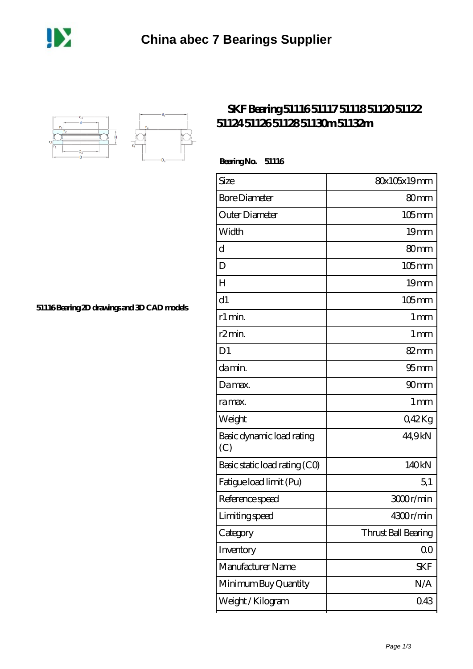



## **[SKF Bearing 51116 51117 51118 51120 51122](https://m.dannysguitarshop.tv/skf-51106-bearing/skf-51116/) [51124 51126 51128 51130m 51132m](https://m.dannysguitarshop.tv/skf-51106-bearing/skf-51116/)**

 **Bearing No. 51116**

| Size                             | 80x105x19mm         |
|----------------------------------|---------------------|
| <b>Bore Diameter</b>             | 80mm                |
| Outer Diameter                   | $105$ mm            |
| Width                            | 19 <sub>mm</sub>    |
| d                                | 80 <sub>mm</sub>    |
| D                                | $105$ mm            |
| H                                | 19 <sub>mm</sub>    |
| d1                               | $105 \text{mm}$     |
| r1 min.                          | 1 <sub>mm</sub>     |
| r <sub>2</sub> min.              | 1 <sub>mm</sub>     |
| D <sub>1</sub>                   | $82 \text{mm}$      |
| da min.                          | 95 <sub>mm</sub>    |
| Damax.                           | 90 <sub>mm</sub>    |
| ra max.                          | 1 <sub>mm</sub>     |
| Weight                           | 042Kg               |
| Basic dynamic load rating<br>(C) | 44,9kN              |
| Basic static load rating (CO)    | 140kN               |
| Fatigue load limit (Pu)          | 5,1                 |
| Reference speed                  | 3000r/min           |
| Limiting speed                   | 4300r/min           |
| Category                         | Thrust Ball Bearing |
| Inventory                        | 0 <sub>0</sub>      |
| Manufacturer Name                | <b>SKF</b>          |
| Minimum Buy Quantity             | N/A                 |
| Weight / Kilogram                | 043                 |

**[51116 Bearing 2D drawings and 3D CAD models](https://m.dannysguitarshop.tv/pic-807656.html)**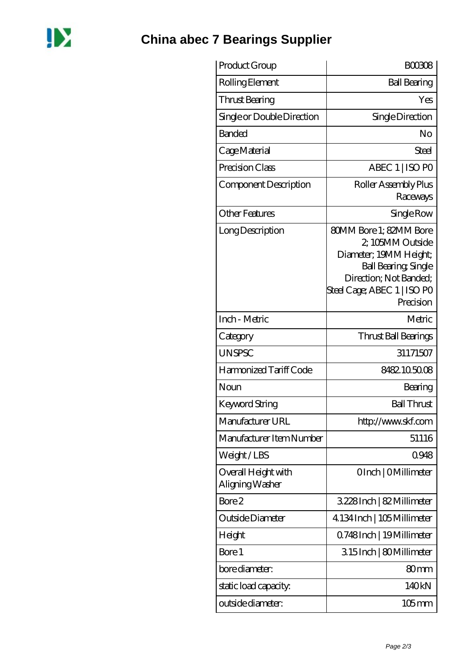

## **[China abec 7 Bearings Supplier](https://m.dannysguitarshop.tv)**

| Product Group                          | <b>BOO3O8</b>                                                                                                                                                                    |
|----------------------------------------|----------------------------------------------------------------------------------------------------------------------------------------------------------------------------------|
| Rolling Element                        | <b>Ball Bearing</b>                                                                                                                                                              |
| Thrust Bearing                         | Yes                                                                                                                                                                              |
| Single or Double Direction             | Single Direction                                                                                                                                                                 |
| Banded                                 | No                                                                                                                                                                               |
| Cage Material                          | Steel                                                                                                                                                                            |
| Precision Class                        | ABEC 1   ISO PO                                                                                                                                                                  |
| Component Description                  | Roller Assembly Plus<br>Raceways                                                                                                                                                 |
| <b>Other Features</b>                  | Single Row                                                                                                                                                                       |
| Long Description                       | <b>80MM Bore 1: 82MM Bore</b><br>2, 105MM Outside<br>Diameter; 19MM Height;<br><b>Ball Bearing, Single</b><br>Direction; Not Banded;<br>Steel Cage; ABEC 1   ISO PO<br>Precision |
| Inch - Metric                          | Metric                                                                                                                                                                           |
| Category                               | Thrust Ball Bearings                                                                                                                                                             |
| <b>UNSPSC</b>                          | 31171507                                                                                                                                                                         |
| Harmonized Tariff Code                 | 8482105008                                                                                                                                                                       |
| Noun                                   | Bearing                                                                                                                                                                          |
| <b>Keyword String</b>                  | <b>Ball Thrust</b>                                                                                                                                                               |
| Manufacturer URL                       | http://www.skf.com                                                                                                                                                               |
| Manufacturer Item Number               | 51116                                                                                                                                                                            |
| Weight/LBS                             | 0948                                                                                                                                                                             |
| Overall Height with<br>Aligning Washer | OInch   OMillimeter                                                                                                                                                              |
| Bore 2                                 | 3.228Inch   82 Millimeter                                                                                                                                                        |
| Outside Diameter                       | 4.134 Inch   105 Millimeter                                                                                                                                                      |
| Height                                 | Q748Inch   19Millimeter                                                                                                                                                          |
| Bore 1                                 | 315Inch   80Millimeter                                                                                                                                                           |
| bore diameter:                         | 80 <sub>mm</sub>                                                                                                                                                                 |
| static load capacity.                  | 140kN                                                                                                                                                                            |
| outside diameter:                      | 105 mm                                                                                                                                                                           |